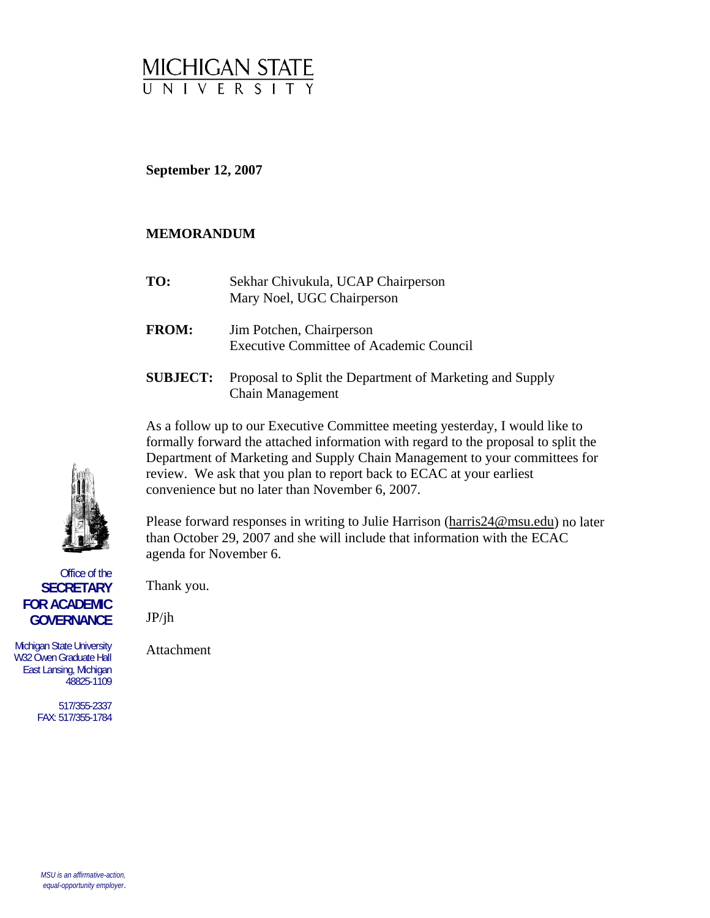

**September 12, 2007** 

## **MEMORANDUM**

- **TO:** Sekhar Chivukula, UCAP Chairperson Mary Noel, UGC Chairperson
- **FROM:** Jim Potchen, Chairperson Executive Committee of Academic Council
- **SUBJECT:** Proposal to Split the Department of Marketing and Supply Chain Management

As a follow up to our Executive Committee meeting yesterday, I would like to formally forward the attached information with regard to the proposal to split the Department of Marketing and Supply Chain Management to your committees for review. We ask that you plan to report back to ECAC at your earliest convenience but no later than November 6, 2007.

Please forward responses in writing to Julie Harrison [\(harris24@msu.edu](mailto:harris24@msu.edu)) no later than October 29, 2007 and she will include that information with the ECAC agenda for November 6.

Thank you.

JP/jh

Attachment

517/355-2337 FAX: 517/355-1784

Office of the

East Lansing, Michigan 48825-1109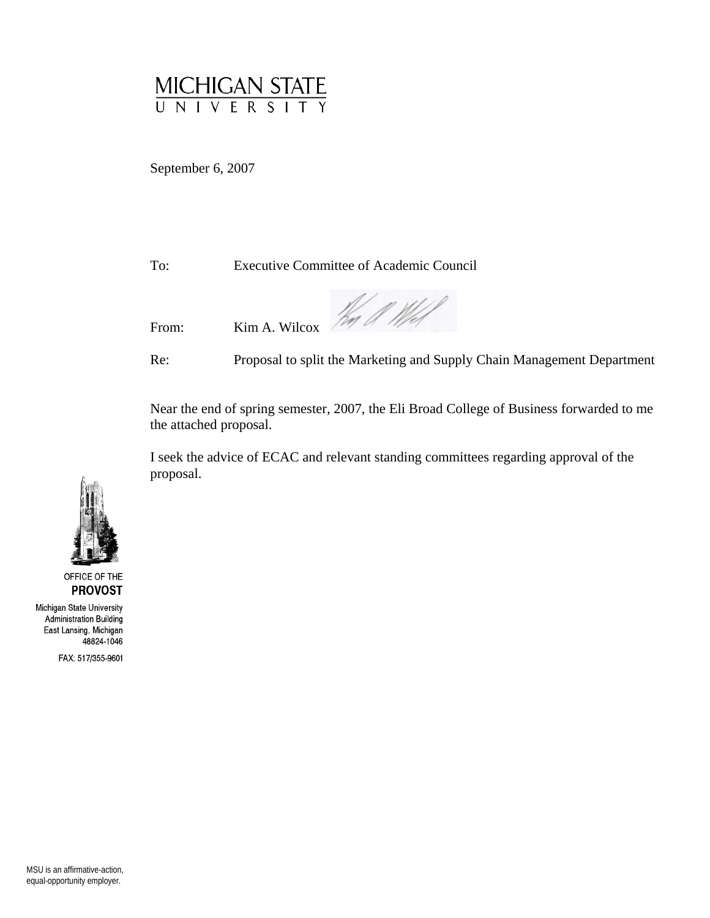

September 6, 2007

To: Executive Committee of Academic Council

From: Kim A. Wilcox

Re: Proposal to split the Marketing and Supply Chain Management Department

Near the end of spring semester, 2007, the Eli Broad College of Business forwarded to me the attached proposal.

I seek the advice of ECAC and relevant standing committees regarding approval of the proposal.



OFFICE OF THE **PROVOST** 

Michigan State University Administration Building East Lansing, Michigan 48824-1046

FAX: 517/355-9601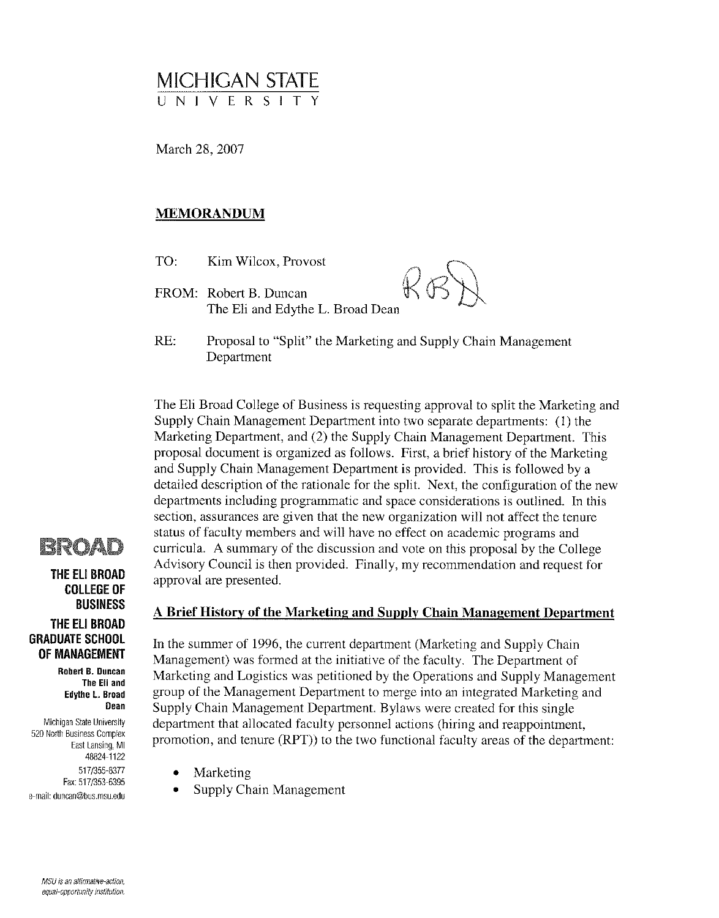# MICHIGAN STATE UNIVERSI

March 28, 2007

## **MEMORANDUM**

- TO: Kim Wilcox, Provost
- FROM: Robert B. Duncan The Eli and Edythe L. Broad Dean
- 
- RE: Proposal to "Split" the Marketing and Supply Chain Management Department

The Eli Broad College of Business is requesting approval to split the Marketing and Supply Chain Management Department into two separate departments: (1) the Marketing Department, and (2) the Supply Chain Management Department. This proposal document is organized as follows. First, a brief history of the Marketing and Supply Chain Management Department is provided. This is followed by a detailed description of the rationale for the split. Next, the configuration of the new departments including programmatic and space considerations is outlined. In this section, assurances are given that the new organization will not affect the tenure status of faculty members and will have no effect on academic programs and curricula. A summary of the discussion and vote on this proposal by the College Advisory Council is then provided. Finally, my recommendation and request for approval are presented.



THE ELI BROAD **COLLEGE OF BUSINESS** THE ELI BROAD **GRADUATE SCHOOL** OF MANAGEMENT

> Robert B. Duncan The Eli and Edythe L. Broad Dean

Michigan State University 520 North Business Complex East Lansing, MI 48824-1122 517/355-8377 Fax: 517/353-6395 e-mail: duncan@bus.msu.edu

#### A Brief History of the Marketing and Supply Chain Management Department

In the summer of 1996, the current department (Marketing and Supply Chain Management) was formed at the initiative of the faculty. The Department of Marketing and Logistics was petitioned by the Operations and Supply Management group of the Management Department to merge into an integrated Marketing and Supply Chain Management Department. Bylaws were created for this single department that allocated faculty personnel actions (hiring and reappointment, promotion, and tenure (RPT) to the two functional faculty areas of the department:

- Marketing
- Supply Chain Management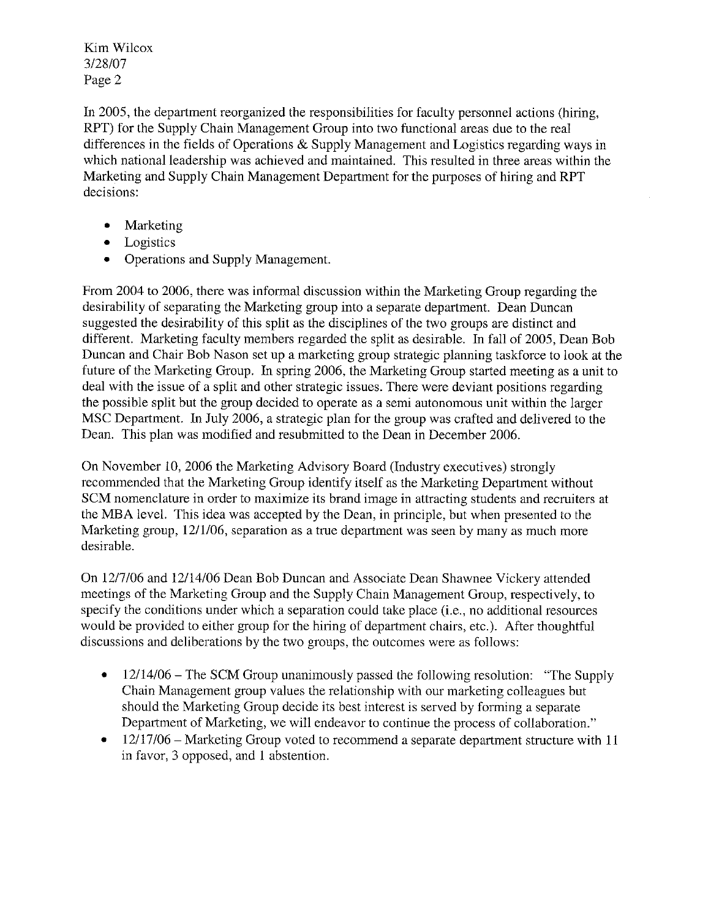In 2005, the department reorganized the responsibilities for faculty personnel actions (hiring, RPT) for the Supply Chain Management Group into two functional areas due to the real differences in the fields of Operations & Supply Management and Logistics regarding ways in which national leadership was achieved and maintained. This resulted in three areas within the Marketing and Supply Chain Management Department for the purposes of hiring and RPT decisions:

- Marketing  $\bullet$
- Logistics  $\bullet$
- **Operations and Supply Management.**  $\bullet$

From 2004 to 2006, there was informal discussion within the Marketing Group regarding the desirability of separating the Marketing group into a separate department. Dean Duncan suggested the desirability of this split as the disciplines of the two groups are distinct and different. Marketing faculty members regarded the split as desirable. In fall of 2005, Dean Bob Duncan and Chair Bob Nason set up a marketing group strategic planning taskforce to look at the future of the Marketing Group. In spring 2006, the Marketing Group started meeting as a unit to deal with the issue of a split and other strategic issues. There were deviant positions regarding the possible split but the group decided to operate as a semi autonomous unit within the larger MSC Department. In July 2006, a strategic plan for the group was crafted and delivered to the Dean. This plan was modified and resubmitted to the Dean in December 2006.

On November 10, 2006 the Marketing Advisory Board (Industry executives) strongly recommended that the Marketing Group identify itself as the Marketing Department without SCM nomenclature in order to maximize its brand image in attracting students and recruiters at the MBA level. This idea was accepted by the Dean, in principle, but when presented to the Marketing group, 12/1/06, separation as a true department was seen by many as much more desirable.

On 12/7/06 and 12/14/06 Dean Bob Duncan and Associate Dean Shawnee Vickery attended meetings of the Marketing Group and the Supply Chain Management Group, respectively, to specify the conditions under which a separation could take place (i.e., no additional resources would be provided to either group for the hiring of department chairs, etc.). After thoughtful discussions and deliberations by the two groups, the outcomes were as follows:

- $\bullet$  $12/14/06$  – The SCM Group unanimously passed the following resolution: "The Supply Chain Management group values the relationship with our marketing colleagues but should the Marketing Group decide its best interest is served by forming a separate Department of Marketing, we will endeavor to continue the process of collaboration."
- 12/17/06 Marketing Group voted to recommend a separate department structure with 11  $\bullet$ in favor, 3 opposed, and 1 abstention.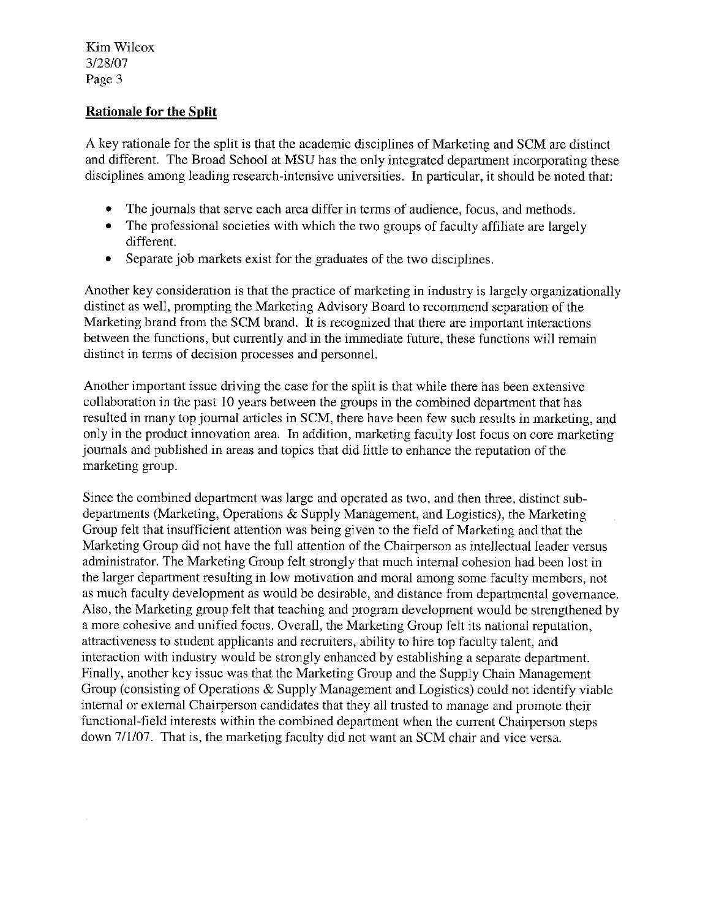# **Rationale for the Split**

A key rationale for the split is that the academic disciplines of Marketing and SCM are distinct and different. The Broad School at MSU has the only integrated department incorporating these disciplines among leading research-intensive universities. In particular, it should be noted that:

- $\bullet$ The journals that serve each area differ in terms of audience, focus, and methods.
- $\bullet$ The professional societies with which the two groups of faculty affiliate are largely different.
- Separate job markets exist for the graduates of the two disciplines.  $\bullet$

Another key consideration is that the practice of marketing in industry is largely organizationally distinct as well, prompting the Marketing Advisory Board to recommend separation of the Marketing brand from the SCM brand. It is recognized that there are important interactions between the functions, but currently and in the immediate future, these functions will remain distinct in terms of decision processes and personnel.

Another important issue driving the case for the split is that while there has been extensive collaboration in the past 10 years between the groups in the combined department that has resulted in many top journal articles in SCM, there have been few such results in marketing, and only in the product innovation area. In addition, marketing faculty lost focus on core marketing journals and published in areas and topics that did little to enhance the reputation of the marketing group.

Since the combined department was large and operated as two, and then three, distinct subdepartments (Marketing, Operations & Supply Management, and Logistics), the Marketing Group felt that insufficient attention was being given to the field of Marketing and that the Marketing Group did not have the full attention of the Chairperson as intellectual leader versus administrator. The Marketing Group felt strongly that much internal cohesion had been lost in the larger department resulting in low motivation and moral among some faculty members, not as much faculty development as would be desirable, and distance from departmental governance. Also, the Marketing group felt that teaching and program development would be strengthened by a more cohesive and unified focus. Overall, the Marketing Group felt its national reputation, attractiveness to student applicants and recruiters, ability to hire top faculty talent, and interaction with industry would be strongly enhanced by establishing a separate department. Finally, another key issue was that the Marketing Group and the Supply Chain Management Group (consisting of Operations & Supply Management and Logistics) could not identify viable internal or external Chairperson candidates that they all trusted to manage and promote their functional-field interests within the combined department when the current Chairperson steps down 7/1/07. That is, the marketing faculty did not want an SCM chair and vice versa.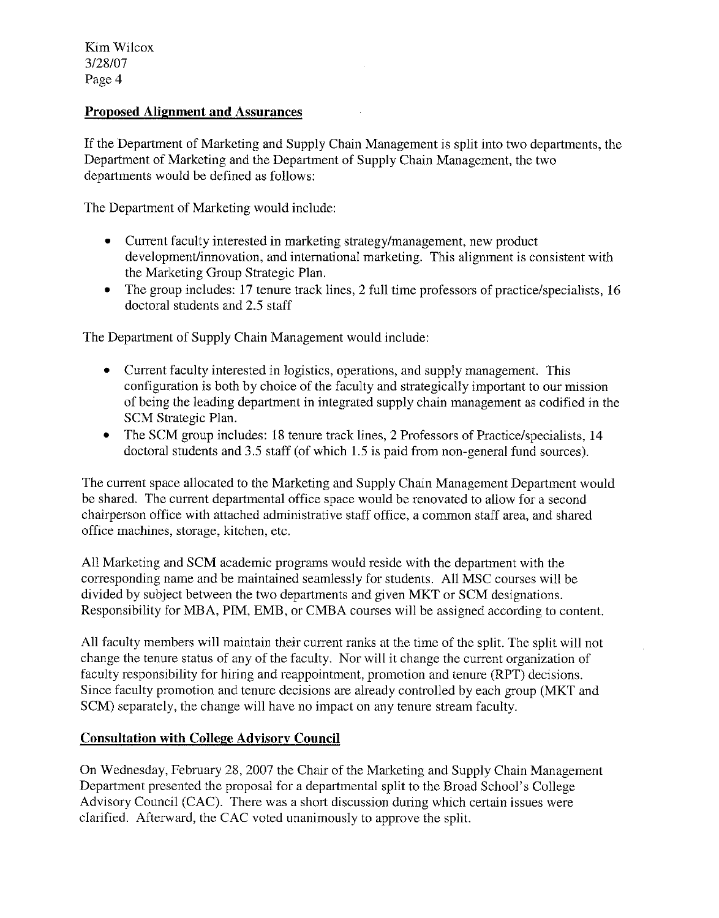## **Proposed Alignment and Assurances**

If the Department of Marketing and Supply Chain Management is split into two departments, the Department of Marketing and the Department of Supply Chain Management, the two departments would be defined as follows:

The Department of Marketing would include:

- Current faculty interested in marketing strategy/management, new product development/innovation, and international marketing. This alignment is consistent with the Marketing Group Strategic Plan.
- The group includes: 17 tenure track lines, 2 full time professors of practice/specialists, 16  $\bullet$ doctoral students and 2.5 staff

The Department of Supply Chain Management would include:

- Current faculty interested in logistics, operations, and supply management. This  $\bullet$ configuration is both by choice of the faculty and strategically important to our mission of being the leading department in integrated supply chain management as codified in the SCM Strategic Plan.
- The SCM group includes: 18 tenure track lines, 2 Professors of Practice/specialists, 14  $\bullet$ doctoral students and 3.5 staff (of which 1.5 is paid from non-general fund sources).

The current space allocated to the Marketing and Supply Chain Management Department would be shared. The current departmental office space would be renovated to allow for a second chairperson office with attached administrative staff office, a common staff area, and shared office machines, storage, kitchen, etc.

All Marketing and SCM academic programs would reside with the department with the corresponding name and be maintained seamlessly for students. All MSC courses will be divided by subject between the two departments and given MKT or SCM designations. Responsibility for MBA, PIM, EMB, or CMBA courses will be assigned according to content.

All faculty members will maintain their current ranks at the time of the split. The split will not change the tenure status of any of the faculty. Nor will it change the current organization of faculty responsibility for hiring and reappointment, promotion and tenure (RPT) decisions. Since faculty promotion and tenure decisions are already controlled by each group (MKT and SCM) separately, the change will have no impact on any tenure stream faculty.

#### **Consultation with College Advisory Council**

On Wednesday, February 28, 2007 the Chair of the Marketing and Supply Chain Management Department presented the proposal for a departmental split to the Broad School's College Advisory Council (CAC). There was a short discussion during which certain issues were clarified. Afterward, the CAC voted unanimously to approve the split.